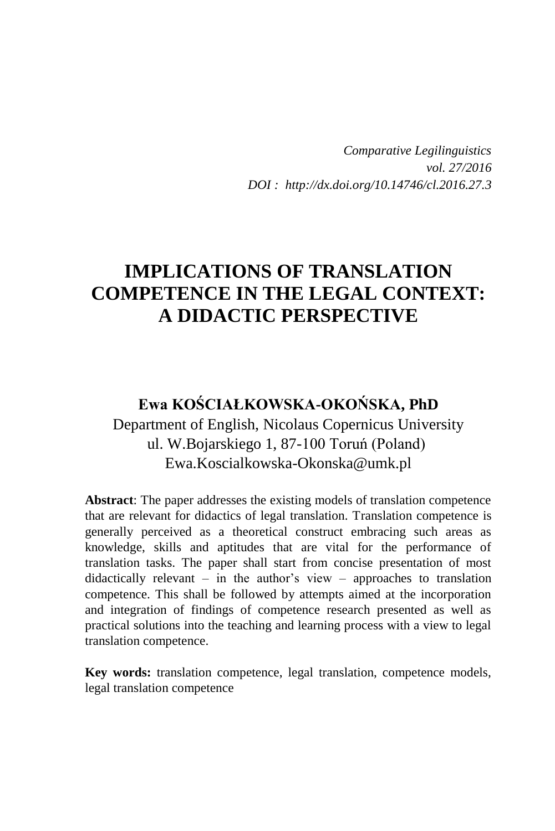*Comparative Legilinguistics vol. 27/2016 DOI : http://dx.doi.org/10.14746/cl.2016.27.3*

# **IMPLICATIONS OF TRANSLATION COMPETENCE IN THE LEGAL CONTEXT: A DIDACTIC PERSPECTIVE**

## **Ewa KOŚCIAŁKOWSKA-OKOŃSKA, PhD** Department of English, Nicolaus Copernicus University ul. W.Bojarskiego 1, 87-100 Toruń (Poland) Ewa.Koscialkowska-Okonska@umk.pl

**Abstract**: The paper addresses the existing models of translation competence that are relevant for didactics of legal translation. Translation competence is generally perceived as a theoretical construct embracing such areas as knowledge, skills and aptitudes that are vital for the performance of translation tasks. The paper shall start from concise presentation of most didactically relevant – in the author's view – approaches to translation competence. This shall be followed by attempts aimed at the incorporation and integration of findings of competence research presented as well as practical solutions into the teaching and learning process with a view to legal translation competence.

**Key words:** translation competence, legal translation, competence models, legal translation competence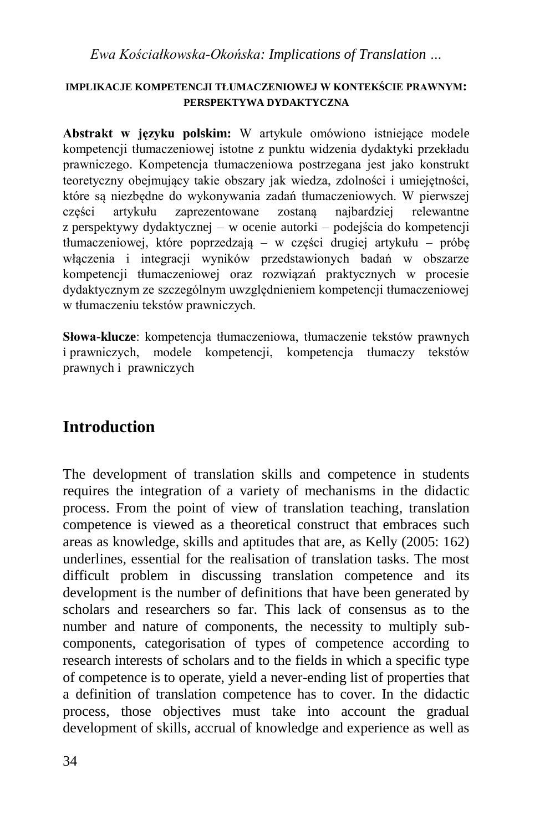#### **IMPLIKACJE KOMPETENCJI TŁUMACZENIOWEJ W KONTEKŚCIE PRAWNYM: PERSPEKTYWA DYDAKTYCZNA**

**Abstrakt w języku polskim:** W artykule omówiono istniejące modele kompetencji tłumaczeniowej istotne z punktu widzenia dydaktyki przekładu prawniczego. Kompetencja tłumaczeniowa postrzegana jest jako konstrukt teoretyczny obejmujący takie obszary jak wiedza, zdolności i umiejętności, które są niezbędne do wykonywania zadań tłumaczeniowych. W pierwszej części artykułu zaprezentowane zostaną najbardziej relewantne z perspektywy dydaktycznej – w ocenie autorki – podejścia do kompetencji tłumaczeniowej, które poprzedzają – w części drugiej artykułu – próbę włączenia i integracji wyników przedstawionych badań w obszarze kompetencji tłumaczeniowej oraz rozwiązań praktycznych w procesie dydaktycznym ze szczególnym uwzględnieniem kompetencji tłumaczeniowej w tłumaczeniu tekstów prawniczych.

**Słowa-klucze**: kompetencja tłumaczeniowa, tłumaczenie tekstów prawnych i prawniczych, modele kompetencji, kompetencja tłumaczy tekstów prawnych i prawniczych

# **Introduction**

The development of translation skills and competence in students requires the integration of a variety of mechanisms in the didactic process. From the point of view of translation teaching, translation competence is viewed as a theoretical construct that embraces such areas as knowledge, skills and aptitudes that are, as Kelly (2005: 162) underlines, essential for the realisation of translation tasks. The most difficult problem in discussing translation competence and its development is the number of definitions that have been generated by scholars and researchers so far. This lack of consensus as to the number and nature of components, the necessity to multiply subcomponents, categorisation of types of competence according to research interests of scholars and to the fields in which a specific type of competence is to operate, yield a never-ending list of properties that a definition of translation competence has to cover. In the didactic process, those objectives must take into account the gradual development of skills, accrual of knowledge and experience as well as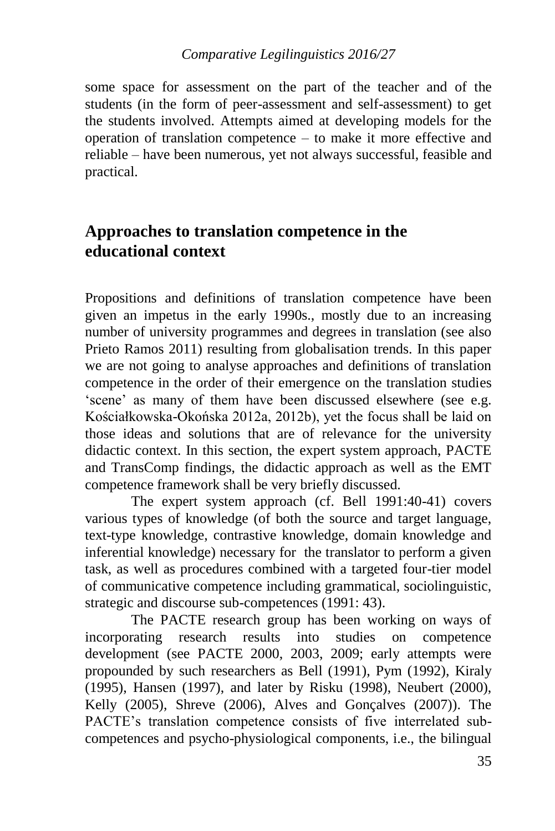#### *Comparative Legilinguistics 2016/27*

some space for assessment on the part of the teacher and of the students (in the form of peer-assessment and self-assessment) to get the students involved. Attempts aimed at developing models for the operation of translation competence – to make it more effective and reliable – have been numerous, yet not always successful, feasible and practical.

### **Approaches to translation competence in the educational context**

Propositions and definitions of translation competence have been given an impetus in the early 1990s., mostly due to an increasing number of university programmes and degrees in translation (see also Prieto Ramos 2011) resulting from globalisation trends. In this paper we are not going to analyse approaches and definitions of translation competence in the order of their emergence on the translation studies 'scene' as many of them have been discussed elsewhere (see e.g. Kościałkowska-Okońska 2012a, 2012b), yet the focus shall be laid on those ideas and solutions that are of relevance for the university didactic context. In this section, the expert system approach, PACTE and TransComp findings, the didactic approach as well as the EMT competence framework shall be very briefly discussed.

The expert system approach (cf. Bell 1991:40-41) covers various types of knowledge (of both the source and target language, text-type knowledge, contrastive knowledge, domain knowledge and inferential knowledge) necessary for the translator to perform a given task, as well as procedures combined with a targeted four-tier model of communicative competence including grammatical, sociolinguistic, strategic and discourse sub-competences (1991: 43).

The PACTE research group has been working on ways of incorporating research results into studies on competence development (see PACTE 2000, 2003, 2009; early attempts were propounded by such researchers as Bell (1991), Pym (1992), Kiraly (1995), Hansen (1997), and later by Risku (1998), Neubert (2000), Kelly (2005), Shreve (2006), Alves and Gonçalves (2007)). The PACTE's translation competence consists of five interrelated subcompetences and psycho-physiological components, i.e., the bilingual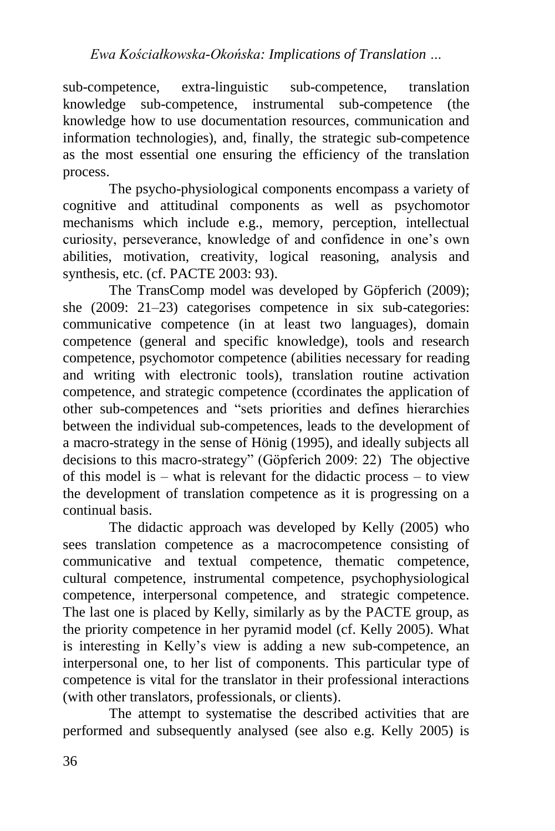sub-competence, extra-linguistic sub-competence, translation knowledge sub-competence, instrumental sub-competence (the knowledge how to use documentation resources, communication and information technologies), and, finally, the strategic sub-competence as the most essential one ensuring the efficiency of the translation process.

The psycho-physiological components encompass a variety of cognitive and attitudinal components as well as psychomotor mechanisms which include e.g., memory, perception, intellectual curiosity, perseverance, knowledge of and confidence in one's own abilities, motivation, creativity, logical reasoning, analysis and synthesis, etc. (cf. PACTE 2003: 93).

The TransComp model was developed by Göpferich (2009); she (2009: 21–23) categorises competence in six sub-categories: communicative competence (in at least two languages), domain competence (general and specific knowledge), tools and research competence, psychomotor competence (abilities necessary for reading and writing with electronic tools), translation routine activation competence, and strategic competence (ccordinates the application of other sub-competences and "sets priorities and defines hierarchies between the individual sub-competences, leads to the development of a macro-strategy in the sense of Hönig (1995), and ideally subjects all decisions to this macro-strategy" (Göpferich 2009: 22) The objective of this model is – what is relevant for the didactic process – to view the development of translation competence as it is progressing on a continual basis.

The didactic approach was developed by Kelly (2005) who sees translation competence as a macrocompetence consisting of communicative and textual competence, thematic competence, cultural competence, instrumental competence, psychophysiological competence, interpersonal competence, and strategic competence. The last one is placed by Kelly, similarly as by the PACTE group, as the priority competence in her pyramid model (cf. Kelly 2005). What is interesting in Kelly's view is adding a new sub-competence, an interpersonal one, to her list of components. This particular type of competence is vital for the translator in their professional interactions (with other translators, professionals, or clients).

The attempt to systematise the described activities that are performed and subsequently analysed (see also e.g. Kelly 2005) is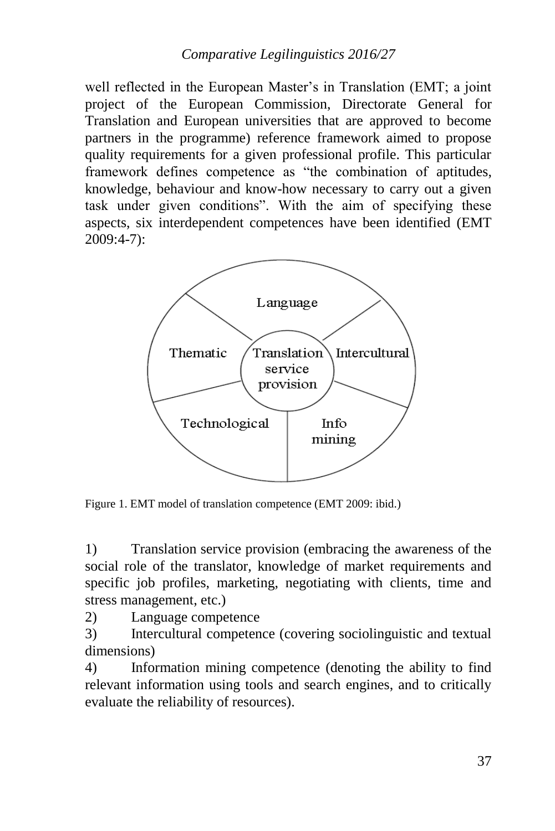well reflected in the European Master's in Translation (EMT; a joint project of the European Commission, Directorate General for Translation and European universities that are approved to become partners in the programme) reference framework aimed to propose quality requirements for a given professional profile. This particular framework defines competence as "the combination of aptitudes, knowledge, behaviour and know-how necessary to carry out a given task under given conditions". With the aim of specifying these aspects, six interdependent competences have been identified (EMT 2009:4-7):



Figure 1. EMT model of translation competence (EMT 2009: ibid.)

1) Translation service provision (embracing the awareness of the social role of the translator, knowledge of market requirements and specific job profiles, marketing, negotiating with clients, time and stress management, etc.)

2) Language competence

3) Intercultural competence (covering sociolinguistic and textual dimensions)

4) Information mining competence (denoting the ability to find relevant information using tools and search engines, and to critically evaluate the reliability of resources).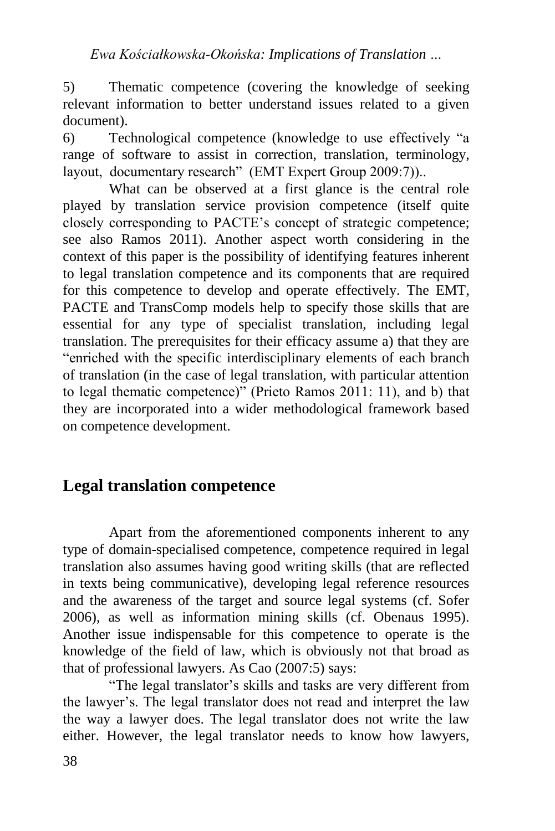5) Thematic competence (covering the knowledge of seeking relevant information to better understand issues related to a given document).

6) Technological competence (knowledge to use effectively "a range of software to assist in correction, translation, terminology, layout, documentary research" (EMT Expert Group 2009:7))..

What can be observed at a first glance is the central role played by translation service provision competence (itself quite closely corresponding to PACTE's concept of strategic competence; see also Ramos 2011). Another aspect worth considering in the context of this paper is the possibility of identifying features inherent to legal translation competence and its components that are required for this competence to develop and operate effectively. The EMT, PACTE and TransComp models help to specify those skills that are essential for any type of specialist translation, including legal translation. The prerequisites for their efficacy assume a) that they are "enriched with the specific interdisciplinary elements of each branch of translation (in the case of legal translation, with particular attention to legal thematic competence)" (Prieto Ramos 2011: 11), and b) that they are incorporated into a wider methodological framework based on competence development.

### **Legal translation competence**

Apart from the aforementioned components inherent to any type of domain-specialised competence, competence required in legal translation also assumes having good writing skills (that are reflected in texts being communicative), developing legal reference resources and the awareness of the target and source legal systems (cf. Sofer 2006), as well as information mining skills (cf. Obenaus 1995). Another issue indispensable for this competence to operate is the knowledge of the field of law, which is obviously not that broad as that of professional lawyers. As Cao (2007:5) says:

"The legal translator's skills and tasks are very different from the lawyer's. The legal translator does not read and interpret the law the way a lawyer does. The legal translator does not write the law either. However, the legal translator needs to know how lawyers,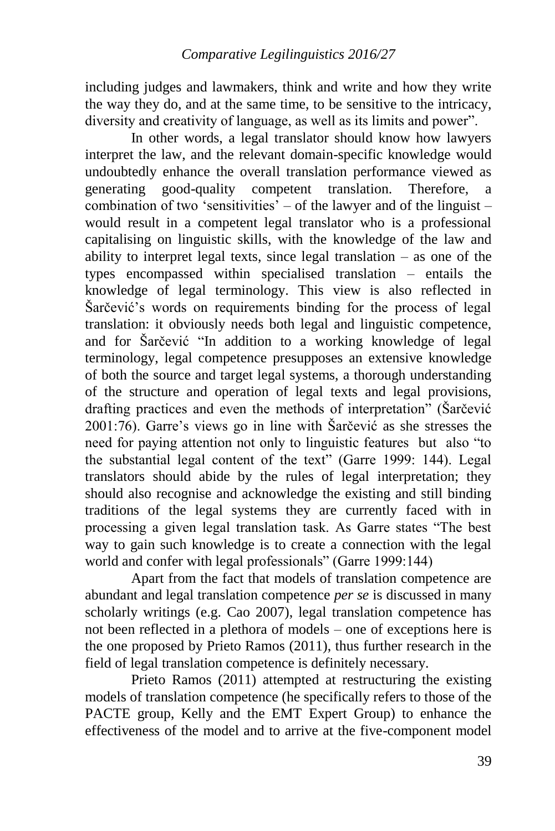including judges and lawmakers, think and write and how they write the way they do, and at the same time, to be sensitive to the intricacy, diversity and creativity of language, as well as its limits and power".

In other words, a legal translator should know how lawyers interpret the law, and the relevant domain-specific knowledge would undoubtedly enhance the overall translation performance viewed as generating good-quality competent translation. Therefore, a combination of two 'sensitivities' – of the lawyer and of the linguist – would result in a competent legal translator who is a professional capitalising on linguistic skills, with the knowledge of the law and ability to interpret legal texts, since legal translation – as one of the types encompassed within specialised translation – entails the knowledge of legal terminology. This view is also reflected in Šarčević's words on requirements binding for the process of legal translation: it obviously needs both legal and linguistic competence, and for Šarčević "In addition to a working knowledge of legal terminology, legal competence presupposes an extensive knowledge of both the source and target legal systems, a thorough understanding of the structure and operation of legal texts and legal provisions, drafting practices and even the methods of interpretation" (Šarčević 2001:76). Garre's views go in line with Šarčević as she stresses the need for paying attention not only to linguistic features but also "to the substantial legal content of the text" (Garre 1999: 144). Legal translators should abide by the rules of legal interpretation; they should also recognise and acknowledge the existing and still binding traditions of the legal systems they are currently faced with in processing a given legal translation task. As Garre states "The best way to gain such knowledge is to create a connection with the legal world and confer with legal professionals" (Garre 1999:144)

Apart from the fact that models of translation competence are abundant and legal translation competence *per se* is discussed in many scholarly writings (e.g. Cao 2007), legal translation competence has not been reflected in a plethora of models – one of exceptions here is the one proposed by Prieto Ramos (2011), thus further research in the field of legal translation competence is definitely necessary.

Prieto Ramos (2011) attempted at restructuring the existing models of translation competence (he specifically refers to those of the PACTE group, Kelly and the EMT Expert Group) to enhance the effectiveness of the model and to arrive at the five-component model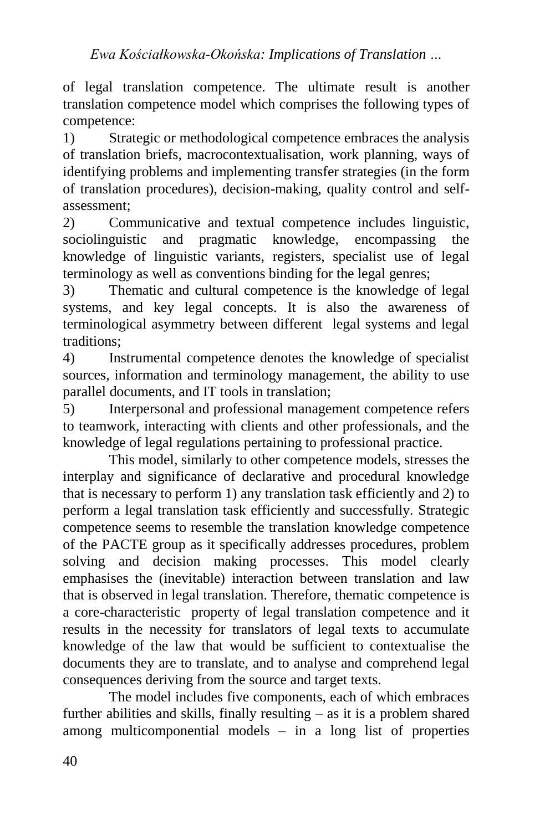of legal translation competence. The ultimate result is another translation competence model which comprises the following types of competence:

1) Strategic or methodological competence embraces the analysis of translation briefs, macrocontextualisation, work planning, ways of identifying problems and implementing transfer strategies (in the form of translation procedures), decision-making, quality control and selfassessment;

2) Communicative and textual competence includes linguistic, sociolinguistic and pragmatic knowledge, encompassing the knowledge of linguistic variants, registers, specialist use of legal terminology as well as conventions binding for the legal genres;

3) Thematic and cultural competence is the knowledge of legal systems, and key legal concepts. It is also the awareness of terminological asymmetry between different legal systems and legal traditions;

4) Instrumental competence denotes the knowledge of specialist sources, information and terminology management, the ability to use parallel documents, and IT tools in translation;

5) Interpersonal and professional management competence refers to teamwork, interacting with clients and other professionals, and the knowledge of legal regulations pertaining to professional practice.

This model, similarly to other competence models, stresses the interplay and significance of declarative and procedural knowledge that is necessary to perform 1) any translation task efficiently and 2) to perform a legal translation task efficiently and successfully. Strategic competence seems to resemble the translation knowledge competence of the PACTE group as it specifically addresses procedures, problem solving and decision making processes. This model clearly emphasises the (inevitable) interaction between translation and law that is observed in legal translation. Therefore, thematic competence is a core-characteristic property of legal translation competence and it results in the necessity for translators of legal texts to accumulate knowledge of the law that would be sufficient to contextualise the documents they are to translate, and to analyse and comprehend legal consequences deriving from the source and target texts.

The model includes five components, each of which embraces further abilities and skills, finally resulting – as it is a problem shared among multicomponential models – in a long list of properties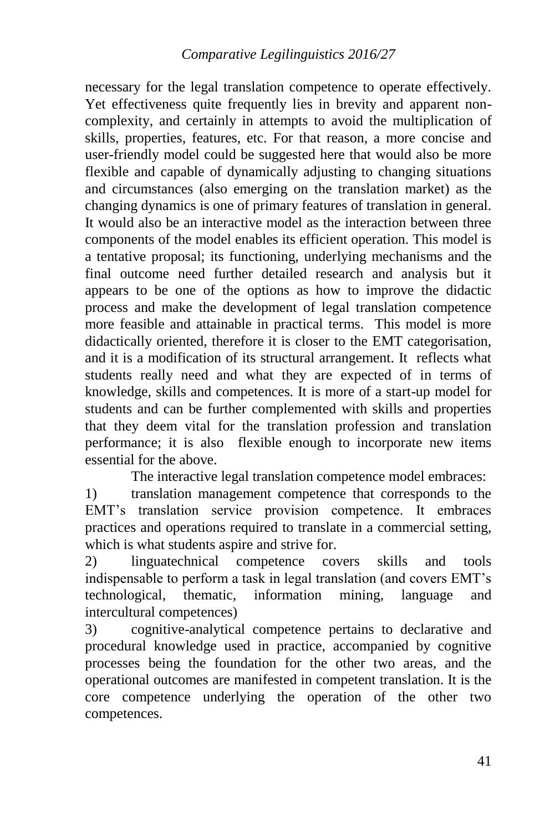necessary for the legal translation competence to operate effectively. Yet effectiveness quite frequently lies in brevity and apparent noncomplexity, and certainly in attempts to avoid the multiplication of skills, properties, features, etc. For that reason, a more concise and user-friendly model could be suggested here that would also be more flexible and capable of dynamically adjusting to changing situations and circumstances (also emerging on the translation market) as the changing dynamics is one of primary features of translation in general. It would also be an interactive model as the interaction between three components of the model enables its efficient operation. This model is a tentative proposal; its functioning, underlying mechanisms and the final outcome need further detailed research and analysis but it appears to be one of the options as how to improve the didactic process and make the development of legal translation competence more feasible and attainable in practical terms. This model is more didactically oriented, therefore it is closer to the EMT categorisation, and it is a modification of its structural arrangement. It reflects what students really need and what they are expected of in terms of knowledge, skills and competences. It is more of a start-up model for students and can be further complemented with skills and properties that they deem vital for the translation profession and translation performance; it is also flexible enough to incorporate new items essential for the above.

The interactive legal translation competence model embraces:

1) translation management competence that corresponds to the EMT's translation service provision competence. It embraces practices and operations required to translate in a commercial setting, which is what students aspire and strive for.

2) linguatechnical competence covers skills and tools indispensable to perform a task in legal translation (and covers EMT's technological, thematic, information mining, language and intercultural competences)

3) cognitive-analytical competence pertains to declarative and procedural knowledge used in practice, accompanied by cognitive processes being the foundation for the other two areas, and the operational outcomes are manifested in competent translation. It is the core competence underlying the operation of the other two competences.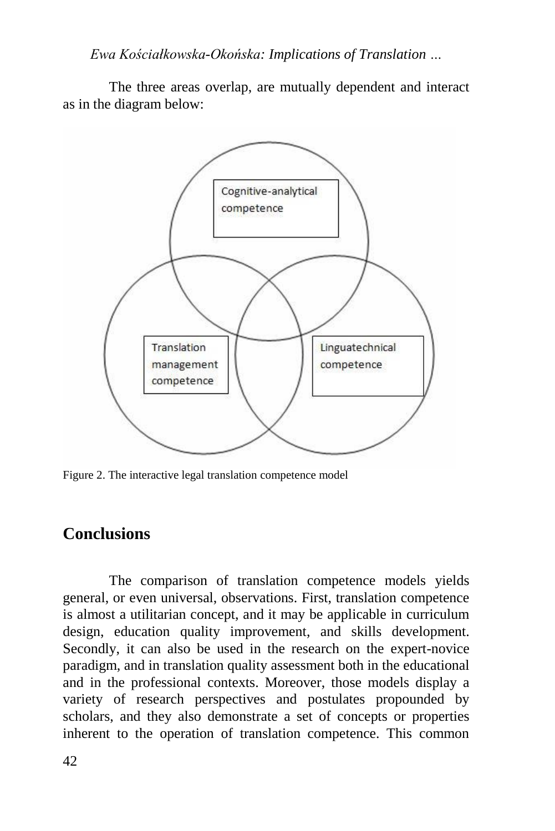The three areas overlap, are mutually dependent and interact as in the diagram below:



Figure 2. The interactive legal translation competence model

#### **Conclusions**

The comparison of translation competence models yields general, or even universal, observations. First, translation competence is almost a utilitarian concept, and it may be applicable in curriculum design, education quality improvement, and skills development. Secondly, it can also be used in the research on the expert-novice paradigm, and in translation quality assessment both in the educational and in the professional contexts. Moreover, those models display a variety of research perspectives and postulates propounded by scholars, and they also demonstrate a set of concepts or properties inherent to the operation of translation competence. This common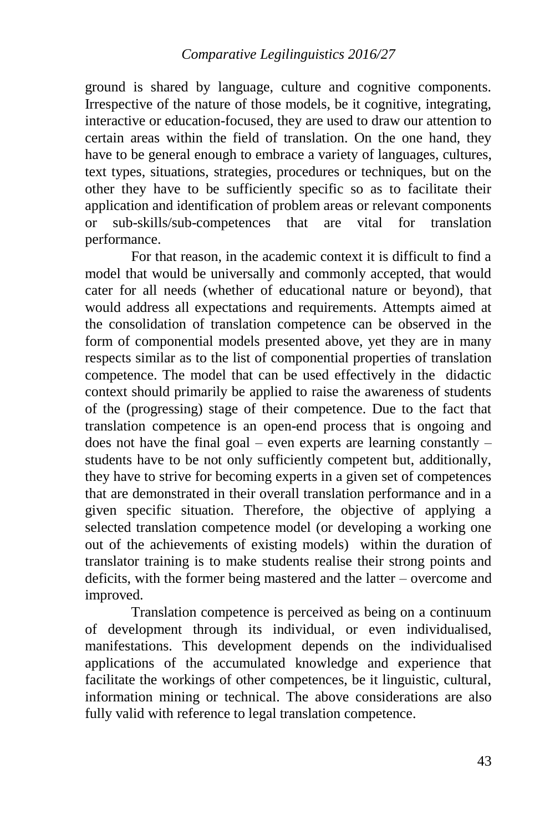ground is shared by language, culture and cognitive components. Irrespective of the nature of those models, be it cognitive, integrating, interactive or education-focused, they are used to draw our attention to certain areas within the field of translation. On the one hand, they have to be general enough to embrace a variety of languages, cultures, text types, situations, strategies, procedures or techniques, but on the other they have to be sufficiently specific so as to facilitate their application and identification of problem areas or relevant components or sub-skills/sub-competences that are vital for translation performance.

For that reason, in the academic context it is difficult to find a model that would be universally and commonly accepted, that would cater for all needs (whether of educational nature or beyond), that would address all expectations and requirements. Attempts aimed at the consolidation of translation competence can be observed in the form of componential models presented above, yet they are in many respects similar as to the list of componential properties of translation competence. The model that can be used effectively in the didactic context should primarily be applied to raise the awareness of students of the (progressing) stage of their competence. Due to the fact that translation competence is an open-end process that is ongoing and does not have the final goal – even experts are learning constantly – students have to be not only sufficiently competent but, additionally, they have to strive for becoming experts in a given set of competences that are demonstrated in their overall translation performance and in a given specific situation. Therefore, the objective of applying a selected translation competence model (or developing a working one out of the achievements of existing models) within the duration of translator training is to make students realise their strong points and deficits, with the former being mastered and the latter – overcome and improved.

Translation competence is perceived as being on a continuum of development through its individual, or even individualised, manifestations. This development depends on the individualised applications of the accumulated knowledge and experience that facilitate the workings of other competences, be it linguistic, cultural, information mining or technical. The above considerations are also fully valid with reference to legal translation competence.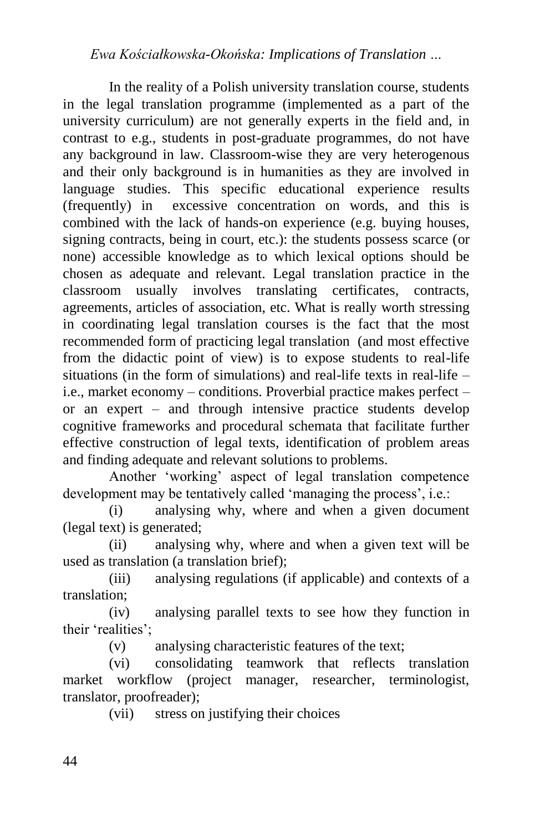In the reality of a Polish university translation course, students in the legal translation programme (implemented as a part of the university curriculum) are not generally experts in the field and, in contrast to e.g., students in post-graduate programmes, do not have any background in law. Classroom-wise they are very heterogenous and their only background is in humanities as they are involved in language studies. This specific educational experience results (frequently) in excessive concentration on words, and this is combined with the lack of hands-on experience (e.g. buying houses, signing contracts, being in court, etc.): the students possess scarce (or none) accessible knowledge as to which lexical options should be chosen as adequate and relevant. Legal translation practice in the classroom usually involves translating certificates, contracts, agreements, articles of association, etc. What is really worth stressing in coordinating legal translation courses is the fact that the most recommended form of practicing legal translation (and most effective from the didactic point of view) is to expose students to real-life situations (in the form of simulations) and real-life texts in real-life  $$ i.e., market economy – conditions. Proverbial practice makes perfect – or an expert – and through intensive practice students develop cognitive frameworks and procedural schemata that facilitate further effective construction of legal texts, identification of problem areas and finding adequate and relevant solutions to problems.

Another 'working' aspect of legal translation competence development may be tentatively called 'managing the process', i.e.:

(i) analysing why, where and when a given document (legal text) is generated;

(ii) analysing why, where and when a given text will be used as translation (a translation brief);

(iii) analysing regulations (if applicable) and contexts of a translation;

(iv) analysing parallel texts to see how they function in their 'realities';

(v) analysing characteristic features of the text;

(vi) consolidating teamwork that reflects translation market workflow (project manager, researcher, terminologist, translator, proofreader);

(vii) stress on justifying their choices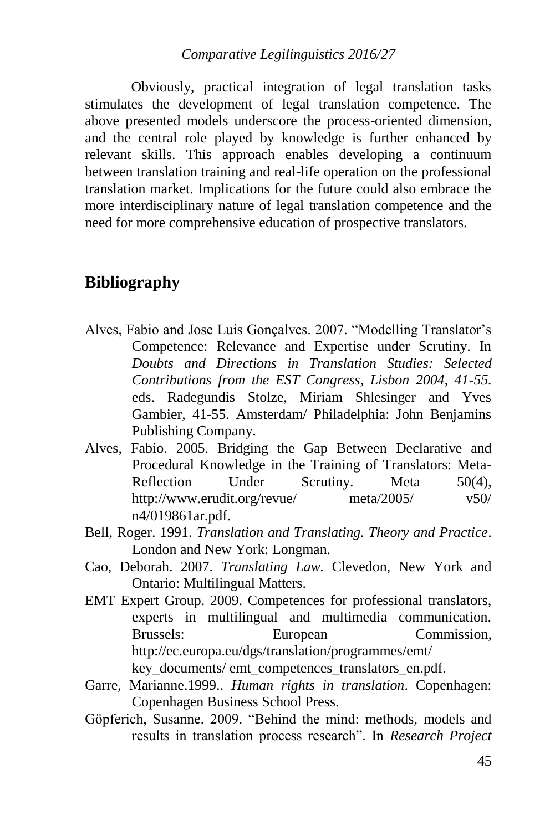#### *Comparative Legilinguistics 2016/27*

Obviously, practical integration of legal translation tasks stimulates the development of legal translation competence. The above presented models underscore the process-oriented dimension, and the central role played by knowledge is further enhanced by relevant skills. This approach enables developing a continuum between translation training and real-life operation on the professional translation market. Implications for the future could also embrace the more interdisciplinary nature of legal translation competence and the need for more comprehensive education of prospective translators.

### **Bibliography**

- Alves, Fabio and Jose Luis Gonçalves. 2007. "Modelling Translator's Competence: Relevance and Expertise under Scrutiny. In *Doubts and Directions in Translation Studies: Selected Contributions from the EST Congress, Lisbon 2004, 41-55.*  eds. Radegundis Stolze, Miriam Shlesinger and Yves Gambier, 41-55. Amsterdam/ Philadelphia: John Benjamins Publishing Company.
- Alves, Fabio. 2005. Bridging the Gap Between Declarative and Procedural Knowledge in the Training of Translators: Meta-Reflection Under Scrutiny. Meta 50(4), http://www.erudit.org/revue/ meta/2005/ v50/ n4/019861ar.pdf.
- Bell, Roger. 1991. *Translation and Translating. Theory and Practice*. London and New York: Longman.
- Cao, Deborah. 2007. *Translating Law.* Clevedon, New York and Ontario: Multilingual Matters.
- EMT Expert Group. 2009. Competences for professional translators, experts in multilingual and multimedia communication. Brussels: European Commission, http://ec.europa.eu/dgs/translation/programmes/emt/ key\_documents/ emt\_competences\_translators\_en.pdf.
- Garre, Marianne.1999.. *Human rights in translation*. Copenhagen: Copenhagen Business School Press.
- Göpferich, Susanne. 2009. "Behind the mind: methods, models and results in translation process research". In *Research Project*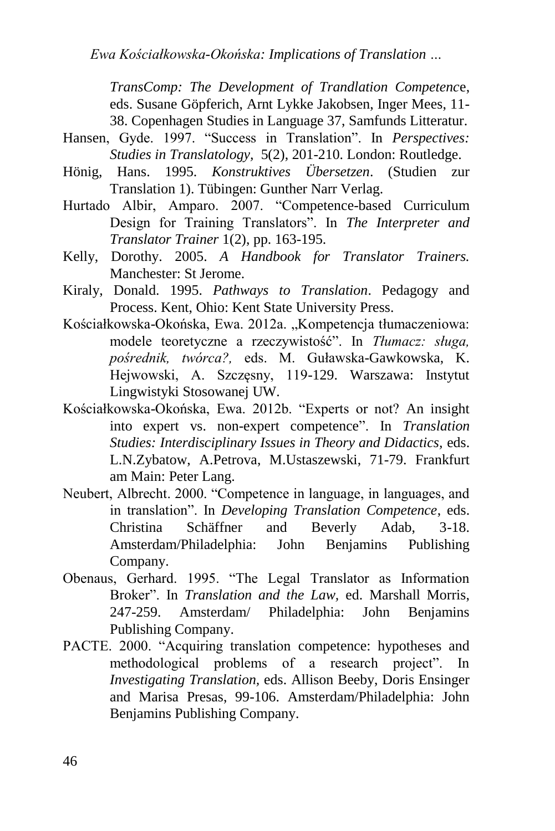*TransComp: The Development of Trandlation Competenc*e, eds. Susane Göpferich, Arnt Lykke Jakobsen, Inger Mees, 11- 38. Copenhagen Studies in Language 37, Samfunds Litteratur.

- Hansen, Gyde. 1997. "Success in Translation". In *Perspectives: Studies in Translatology,* 5(2), 201-210. London: Routledge.
- Hönig, Hans. 1995. *Konstruktives Übersetzen*. (Studien zur Translation 1). Tübingen: Gunther Narr Verlag.
- Hurtado Albir, Amparo. 2007. "Competence-based Curriculum Design for Training Translators". In *The Interpreter and Translator Trainer* 1(2), pp. 163-195.
- Kelly, Dorothy. 2005. *A Handbook for Translator Trainers.*  Manchester: St Jerome.
- Kiraly, Donald. 1995. *Pathways to Translation*. Pedagogy and Process. Kent, Ohio: Kent State University Press.
- Kościałkowska-Okońska, Ewa. 2012a. "Kompetencja tłumaczeniowa: modele teoretyczne a rzeczywistość". In *Tłumacz: sługa, pośrednik, twórca?,* eds. M. Guławska-Gawkowska, K. Hejwowski, A. Szczęsny, 119-129. Warszawa: Instytut Lingwistyki Stosowanej UW.
- Kościałkowska-Okońska, Ewa. 2012b. "Experts or not? An insight into expert vs. non-expert competence". In *Translation Studies: Interdisciplinary Issues in Theory and Didactics,* eds. L.N.Zybatow, A.Petrova, M.Ustaszewski, 71-79. Frankfurt am Main: Peter Lang.
- Neubert, Albrecht. 2000. "Competence in language, in languages, and in translation". In *Developing Translation Competence*, eds. Christina Schäffner and Beverly Adab, 3-18. Amsterdam/Philadelphia: John Benjamins Publishing Company.
- Obenaus, Gerhard. 1995. "The Legal Translator as Information Broker". In *Translation and the Law,* ed. Marshall Morris, 247-259. Amsterdam/ Philadelphia: John Benjamins Publishing Company.
- PACTE. 2000. "Acquiring translation competence: hypotheses and methodological problems of a research project". In *Investigating Translation,* eds. Allison Beeby, Doris Ensinger and Marisa Presas, 99-106. Amsterdam/Philadelphia: John Benjamins Publishing Company.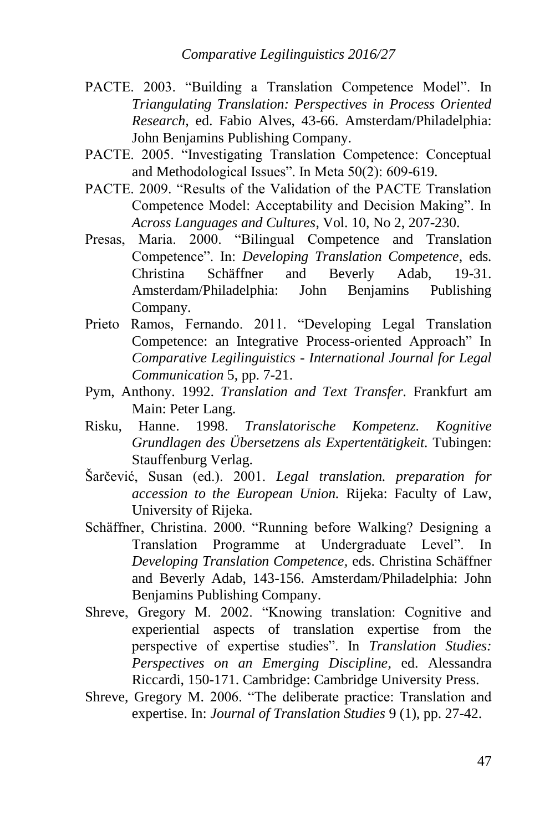- PACTE. 2003. "Building a Translation Competence Model". In *Triangulating Translation: Perspectives in Process Oriented Research,* ed. Fabio Alves, 43-66. Amsterdam/Philadelphia: John Benjamins Publishing Company.
- PACTE. 2005. "Investigating Translation Competence: Conceptual and Methodological Issues". In Meta 50(2): 609-619.
- PACTE. 2009. "Results of the Validation of the PACTE Translation Competence Model: Acceptability and Decision Making". In *Across Languages and Cultures*, Vol. 10, No 2, 207-230.
- Presas, Maria. 2000. "Bilingual Competence and Translation Competence". In: *Developing Translation Competence,* eds*.*  Christina Schäffner and Beverly Adab, 19-31. Amsterdam/Philadelphia: John Benjamins Publishing Company.
- Prieto Ramos, Fernando. 2011. "Developing Legal Translation Competence: an Integrative Process-oriented Approach" In *Comparative Legilinguistics - International Journal for Legal Communication* 5, pp. 7-21.
- Pym, Anthony. 1992. *Translation and Text Transfer.* Frankfurt am Main: Peter Lang.
- Risku, Hanne. 1998. *Translatorische Kompetenz. Kognitive Grundlagen des Übersetzens als Expertentätigkeit.* Tubingen: Stauffenburg Verlag.
- Šarčević, Susan (ed.). 2001. *Legal translation. preparation for accession to the European Union.* Rijeka: Faculty of Law, University of Rijeka.
- Schäffner, Christina. 2000. "Running before Walking? Designing a Translation Programme at Undergraduate Level". In *Developing Translation Competence,* eds. Christina Schäffner and Beverly Adab, 143-156. Amsterdam/Philadelphia: John Benjamins Publishing Company.
- Shreve, Gregory M. 2002. "Knowing translation: Cognitive and experiential aspects of translation expertise from the perspective of expertise studies". In *Translation Studies: Perspectives on an Emerging Discipline*, ed. Alessandra Riccardi, 150-171. Cambridge: Cambridge University Press.
- Shreve, Gregory M. 2006. "The deliberate practice: Translation and expertise. In: *Journal of Translation Studies* 9 (1), pp. 27-42.